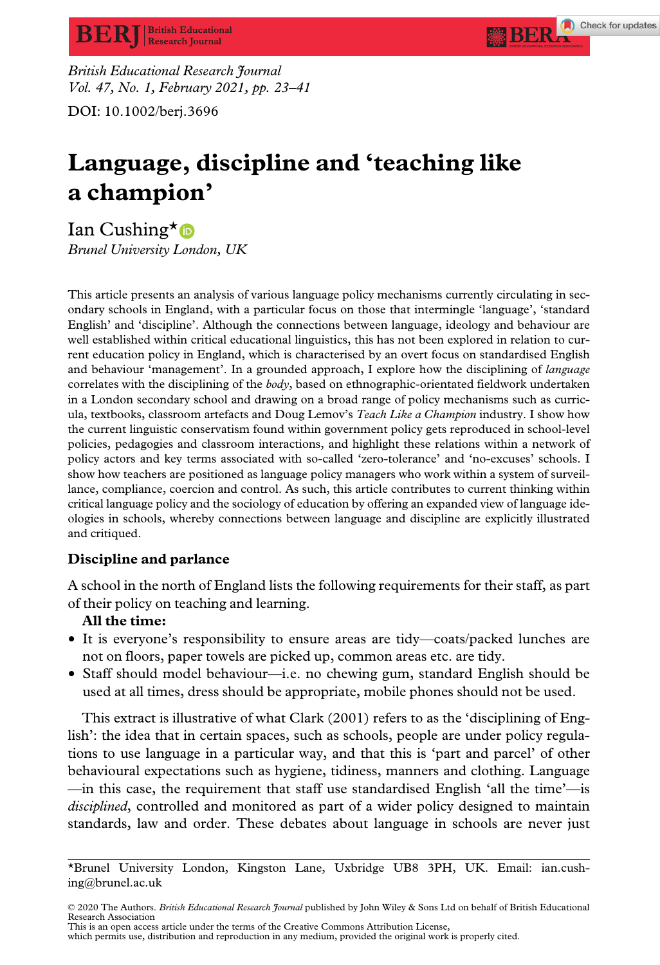British Educational Research Journal Vol. 47, No. 1, February 2021, pp. 23–41

DOI: 10.1002/berj.3696

# Language, discipline and 'teaching like a champion'

**BERA** Check for updates

Ian Cushing\*<sup>6</sup> Brunel University London, UK

This article presents an analysis of various language policy mechanisms currently circulating in secondary schools in England, with a particular focus on those that intermingle 'language', 'standard English' and 'discipline'. Although the connections between language, ideology and behaviour are well established within critical educational linguistics, this has not been explored in relation to current education policy in England, which is characterised by an overt focus on standardised English and behaviour 'management'. In a grounded approach, I explore how the disciplining of *language* correlates with the disciplining of the body, based on ethnographic-orientated fieldwork undertaken in a London secondary school and drawing on a broad range of policy mechanisms such as curricula, textbooks, classroom artefacts and Doug Lemov's *Teach Like a Champion* industry. I show how the current linguistic conservatism found within government policy gets reproduced in school-level policies, pedagogies and classroom interactions, and highlight these relations within a network of policy actors and key terms associated with so-called 'zero-tolerance' and 'no-excuses' schools. I show how teachers are positioned as language policy managers who work within a system of surveillance, compliance, coercion and control. As such, this article contributes to current thinking within critical language policy and the sociology of education by offering an expanded view of language ideologies in schools, whereby connections between language and discipline are explicitly illustrated and critiqued.

## Discipline and parlance

A school in the north of England lists the following requirements for their staff, as part of their policy on teaching and learning.

## All the time:

- It is everyone's responsibility to ensure areas are tidy—coats/packed lunches are not on floors, paper towels are picked up, common areas etc. are tidy.
- Staff should model behaviour—i.e. no chewing gum, standard English should be used at all times, dress should be appropriate, mobile phones should not be used.

This extract is illustrative of what Clark (2001) refers to as the 'disciplining of English': the idea that in certain spaces, such as schools, people are under policy regulations to use language in a particular way, and that this is 'part and parcel' of other behavioural expectations such as hygiene, tidiness, manners and clothing. Language —in this case, the requirement that staff use standardised English 'all the time'—is disciplined, controlled and monitored as part of a wider policy designed to maintain standards, law and order. These debates about language in schools are never just

\*Brunel University London, Kingston Lane, Uxbridge UB8 3PH, UK. Email: [ian.cush](mailto:)[ing@brunel.ac.uk](mailto:)

which permits use, distribution and reproduction in any medium, provided the original work is properly cited.

<sup>© 2020</sup> The Authors. British Educational Research Journal published by John Wiley & Sons Ltd on behalf of British Educational Research Association

This is an open access article under the terms of the [Creative Commons Attribution](http://creativecommons.org/licenses/by/4.0/) License,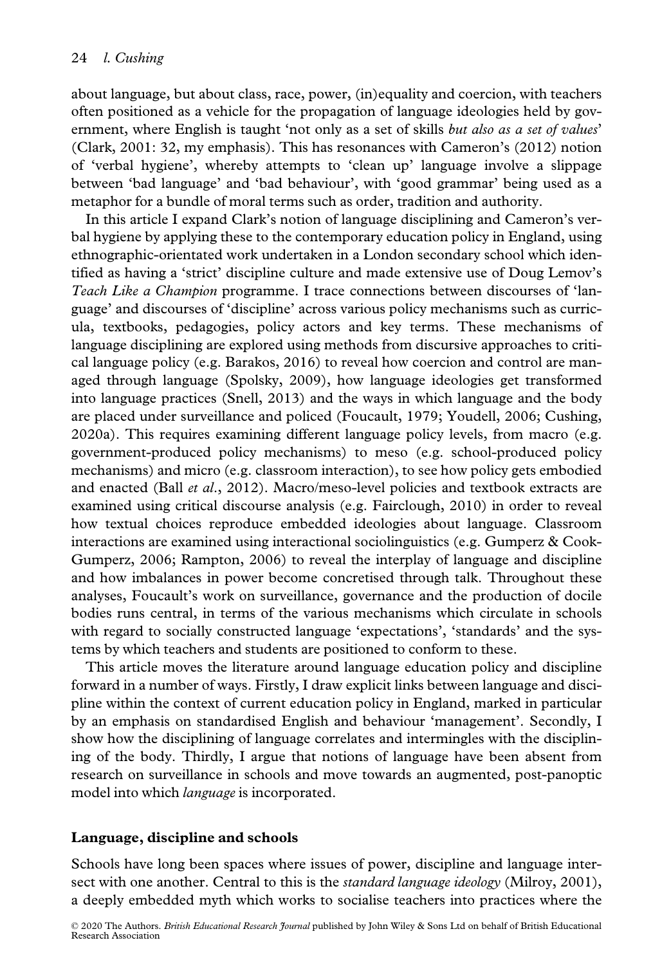about language, but about class, race, power, (in)equality and coercion, with teachers often positioned as a vehicle for the propagation of language ideologies held by government, where English is taught 'not only as a set of skills but also as a set of values' (Clark, 2001: 32, my emphasis). This has resonances with Cameron's (2012) notion of 'verbal hygiene', whereby attempts to 'clean up' language involve a slippage between 'bad language' and 'bad behaviour', with 'good grammar' being used as a metaphor for a bundle of moral terms such as order, tradition and authority.

In this article I expand Clark's notion of language disciplining and Cameron's verbal hygiene by applying these to the contemporary education policy in England, using ethnographic-orientated work undertaken in a London secondary school which identified as having a 'strict' discipline culture and made extensive use of Doug Lemov's Teach Like a Champion programme. I trace connections between discourses of 'language' and discourses of 'discipline' across various policy mechanisms such as curricula, textbooks, pedagogies, policy actors and key terms. These mechanisms of language disciplining are explored using methods from discursive approaches to critical language policy (e.g. Barakos, 2016) to reveal how coercion and control are managed through language (Spolsky, 2009), how language ideologies get transformed into language practices (Snell, 2013) and the ways in which language and the body are placed under surveillance and policed (Foucault, 1979; Youdell, 2006; Cushing, 2020a). This requires examining different language policy levels, from macro (e.g. government-produced policy mechanisms) to meso (e.g. school-produced policy mechanisms) and micro (e.g. classroom interaction), to see how policy gets embodied and enacted (Ball et al., 2012). Macro/meso-level policies and textbook extracts are examined using critical discourse analysis (e.g. Fairclough, 2010) in order to reveal how textual choices reproduce embedded ideologies about language. Classroom interactions are examined using interactional sociolinguistics (e.g. Gumperz & Cook-Gumperz, 2006; Rampton, 2006) to reveal the interplay of language and discipline and how imbalances in power become concretised through talk. Throughout these analyses, Foucault's work on surveillance, governance and the production of docile bodies runs central, in terms of the various mechanisms which circulate in schools with regard to socially constructed language 'expectations', 'standards' and the systems by which teachers and students are positioned to conform to these.

This article moves the literature around language education policy and discipline forward in a number of ways. Firstly, I draw explicit links between language and discipline within the context of current education policy in England, marked in particular by an emphasis on standardised English and behaviour 'management'. Secondly, I show how the disciplining of language correlates and intermingles with the disciplining of the body. Thirdly, I argue that notions of language have been absent from research on surveillance in schools and move towards an augmented, post-panoptic model into which *language* is incorporated.

## Language, discipline and schools

Schools have long been spaces where issues of power, discipline and language intersect with one another. Central to this is the *standard language ideology* (Milroy, 2001), a deeply embedded myth which works to socialise teachers into practices where the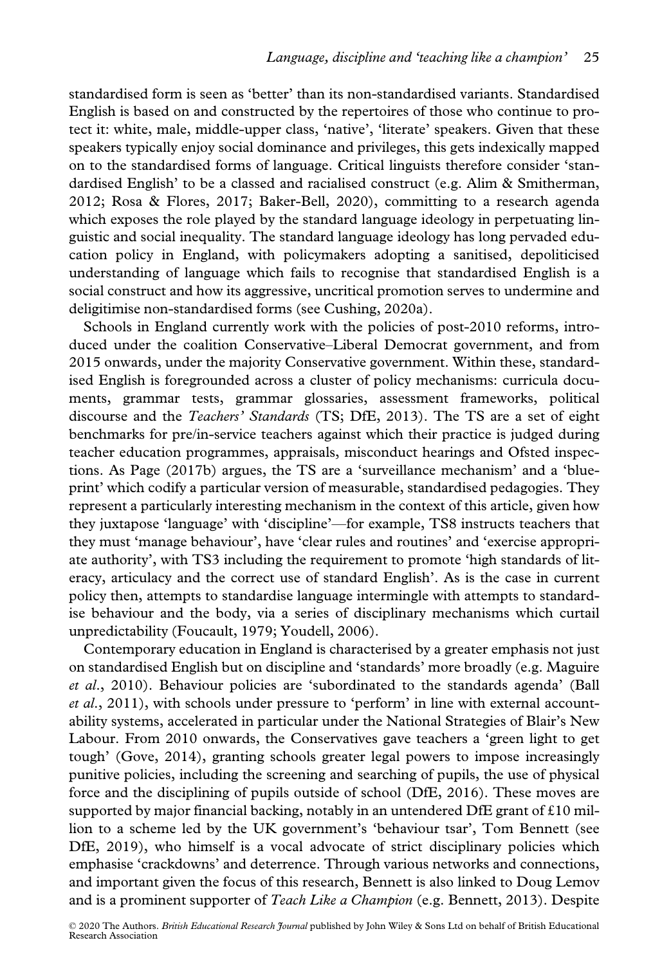standardised form is seen as 'better' than its non-standardised variants. Standardised English is based on and constructed by the repertoires of those who continue to protect it: white, male, middle-upper class, 'native', 'literate' speakers. Given that these speakers typically enjoy social dominance and privileges, this gets indexically mapped on to the standardised forms of language. Critical linguists therefore consider 'standardised English' to be a classed and racialised construct (e.g. Alim & Smitherman, 2012; Rosa & Flores, 2017; Baker-Bell, 2020), committing to a research agenda which exposes the role played by the standard language ideology in perpetuating linguistic and social inequality. The standard language ideology has long pervaded education policy in England, with policymakers adopting a sanitised, depoliticised understanding of language which fails to recognise that standardised English is a social construct and how its aggressive, uncritical promotion serves to undermine and deligitimise non-standardised forms (see Cushing, 2020a).

Schools in England currently work with the policies of post-2010 reforms, introduced under the coalition Conservative–Liberal Democrat government, and from 2015 onwards, under the majority Conservative government. Within these, standardised English is foregrounded across a cluster of policy mechanisms: curricula documents, grammar tests, grammar glossaries, assessment frameworks, political discourse and the Teachers' Standards (TS; DfE, 2013). The TS are a set of eight benchmarks for pre/in-service teachers against which their practice is judged during teacher education programmes, appraisals, misconduct hearings and Ofsted inspections. As Page (2017b) argues, the TS are a 'surveillance mechanism' and a 'blueprint' which codify a particular version of measurable, standardised pedagogies. They represent a particularly interesting mechanism in the context of this article, given how they juxtapose 'language' with 'discipline'—for example, TS8 instructs teachers that they must 'manage behaviour', have 'clear rules and routines' and 'exercise appropriate authority', with TS3 including the requirement to promote 'high standards of literacy, articulacy and the correct use of standard English'. As is the case in current policy then, attempts to standardise language intermingle with attempts to standardise behaviour and the body, via a series of disciplinary mechanisms which curtail unpredictability (Foucault, 1979; Youdell, 2006).

Contemporary education in England is characterised by a greater emphasis not just on standardised English but on discipline and 'standards' more broadly (e.g. Maguire et al., 2010). Behaviour policies are 'subordinated to the standards agenda' (Ball et al., 2011), with schools under pressure to 'perform' in line with external accountability systems, accelerated in particular under the National Strategies of Blair's New Labour. From 2010 onwards, the Conservatives gave teachers a 'green light to get tough' (Gove, 2014), granting schools greater legal powers to impose increasingly punitive policies, including the screening and searching of pupils, the use of physical force and the disciplining of pupils outside of school (DfE, 2016). These moves are supported by major financial backing, notably in an untendered DfE grant of £10 million to a scheme led by the UK government's 'behaviour tsar', Tom Bennett (see DfE, 2019), who himself is a vocal advocate of strict disciplinary policies which emphasise 'crackdowns' and deterrence. Through various networks and connections, and important given the focus of this research, Bennett is also linked to Doug Lemov and is a prominent supporter of Teach Like a Champion (e.g. Bennett, 2013). Despite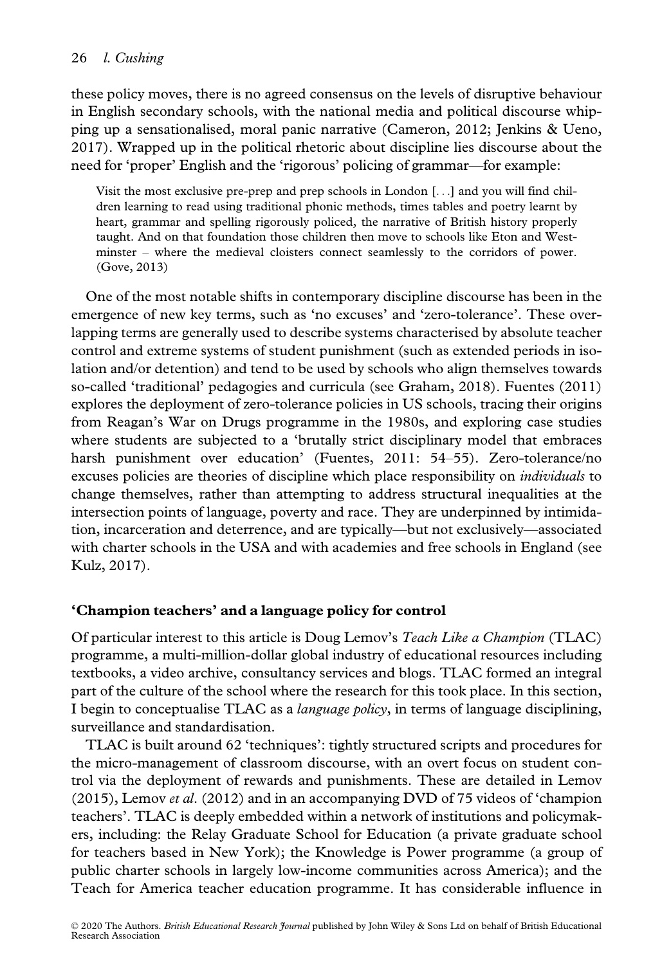these policy moves, there is no agreed consensus on the levels of disruptive behaviour in English secondary schools, with the national media and political discourse whipping up a sensationalised, moral panic narrative (Cameron, 2012; Jenkins & Ueno, 2017). Wrapped up in the political rhetoric about discipline lies discourse about the need for 'proper' English and the 'rigorous' policing of grammar—for example:

Visit the most exclusive pre-prep and prep schools in London [...] and you will find children learning to read using traditional phonic methods, times tables and poetry learnt by heart, grammar and spelling rigorously policed, the narrative of British history properly taught. And on that foundation those children then move to schools like Eton and Westminster – where the medieval cloisters connect seamlessly to the corridors of power. (Gove, 2013)

One of the most notable shifts in contemporary discipline discourse has been in the emergence of new key terms, such as 'no excuses' and 'zero-tolerance'. These overlapping terms are generally used to describe systems characterised by absolute teacher control and extreme systems of student punishment (such as extended periods in isolation and/or detention) and tend to be used by schools who align themselves towards so-called 'traditional' pedagogies and curricula (see Graham, 2018). Fuentes (2011) explores the deployment of zero-tolerance policies in US schools, tracing their origins from Reagan's War on Drugs programme in the 1980s, and exploring case studies where students are subjected to a 'brutally strict disciplinary model that embraces harsh punishment over education' (Fuentes, 2011: 54–55). Zero-tolerance/no excuses policies are theories of discipline which place responsibility on *individuals* to change themselves, rather than attempting to address structural inequalities at the intersection points of language, poverty and race. They are underpinned by intimidation, incarceration and deterrence, and are typically—but not exclusively—associated with charter schools in the USA and with academies and free schools in England (see Kulz, 2017).

## 'Champion teachers' and a language policy for control

Of particular interest to this article is Doug Lemov's Teach Like a Champion (TLAC) programme, a multi-million-dollar global industry of educational resources including textbooks, a video archive, consultancy services and blogs. TLAC formed an integral part of the culture of the school where the research for this took place. In this section, I begin to conceptualise TLAC as a language policy, in terms of language disciplining, surveillance and standardisation.

TLAC is built around 62 'techniques': tightly structured scripts and procedures for the micro-management of classroom discourse, with an overt focus on student control via the deployment of rewards and punishments. These are detailed in Lemov  $(2015)$ , Lemov *et al.*  $(2012)$  and in an accompanying DVD of 75 videos of 'champion teachers'. TLAC is deeply embedded within a network of institutions and policymakers, including: the Relay Graduate School for Education (a private graduate school for teachers based in New York); the Knowledge is Power programme (a group of public charter schools in largely low-income communities across America); and the Teach for America teacher education programme. It has considerable influence in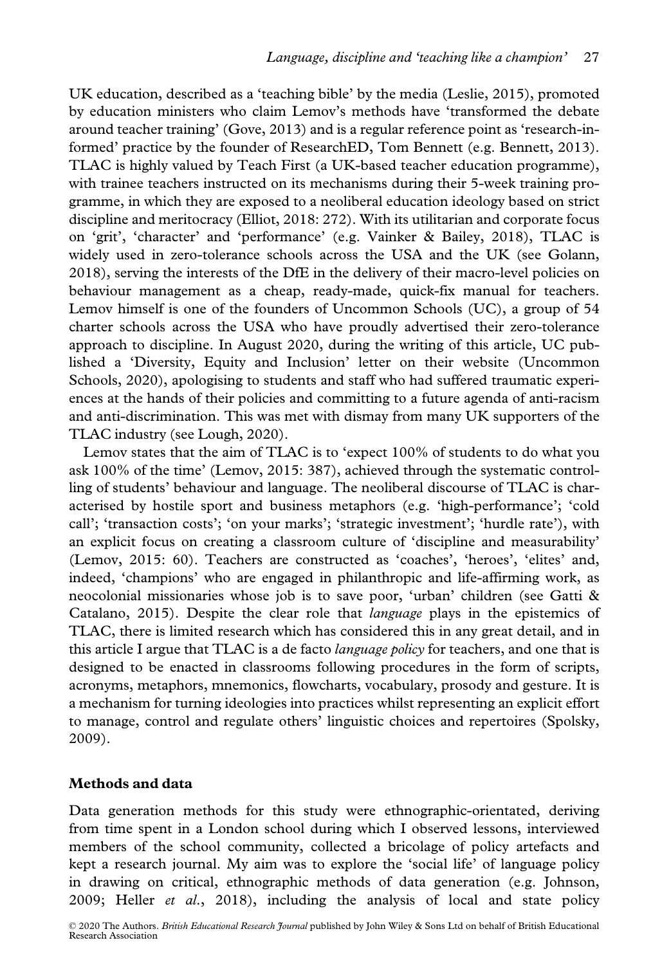UK education, described as a 'teaching bible' by the media (Leslie, 2015), promoted by education ministers who claim Lemov's methods have 'transformed the debate around teacher training' (Gove, 2013) and is a regular reference point as 'research-informed' practice by the founder of ResearchED, Tom Bennett (e.g. Bennett, 2013). TLAC is highly valued by Teach First (a UK-based teacher education programme), with trainee teachers instructed on its mechanisms during their 5-week training programme, in which they are exposed to a neoliberal education ideology based on strict discipline and meritocracy (Elliot, 2018: 272). With its utilitarian and corporate focus on 'grit', 'character' and 'performance' (e.g. Vainker & Bailey, 2018), TLAC is widely used in zero-tolerance schools across the USA and the UK (see Golann, 2018), serving the interests of the DfE in the delivery of their macro-level policies on behaviour management as a cheap, ready-made, quick-fix manual for teachers. Lemov himself is one of the founders of Uncommon Schools (UC), a group of 54 charter schools across the USA who have proudly advertised their zero-tolerance approach to discipline. In August 2020, during the writing of this article, UC published a 'Diversity, Equity and Inclusion' letter on their website (Uncommon Schools, 2020), apologising to students and staff who had suffered traumatic experiences at the hands of their policies and committing to a future agenda of anti-racism and anti-discrimination. This was met with dismay from many UK supporters of the TLAC industry (see Lough, 2020).

Lemov states that the aim of TLAC is to 'expect 100% of students to do what you ask 100% of the time' (Lemov, 2015: 387), achieved through the systematic controlling of students' behaviour and language. The neoliberal discourse of TLAC is characterised by hostile sport and business metaphors (e.g. 'high-performance'; 'cold call'; 'transaction costs'; 'on your marks'; 'strategic investment'; 'hurdle rate'), with an explicit focus on creating a classroom culture of 'discipline and measurability' (Lemov, 2015: 60). Teachers are constructed as 'coaches', 'heroes', 'elites' and, indeed, 'champions' who are engaged in philanthropic and life-affirming work, as neocolonial missionaries whose job is to save poor, 'urban' children (see Gatti & Catalano, 2015). Despite the clear role that *language* plays in the epistemics of TLAC, there is limited research which has considered this in any great detail, and in this article I argue that TLAC is a de facto *language policy* for teachers, and one that is designed to be enacted in classrooms following procedures in the form of scripts, acronyms, metaphors, mnemonics, flowcharts, vocabulary, prosody and gesture. It is a mechanism for turning ideologies into practices whilst representing an explicit effort to manage, control and regulate others' linguistic choices and repertoires (Spolsky, 2009).

#### Methods and data

Data generation methods for this study were ethnographic-orientated, deriving from time spent in a London school during which I observed lessons, interviewed members of the school community, collected a bricolage of policy artefacts and kept a research journal. My aim was to explore the 'social life' of language policy in drawing on critical, ethnographic methods of data generation (e.g. Johnson, 2009; Heller *et al.*, 2018), including the analysis of local and state policy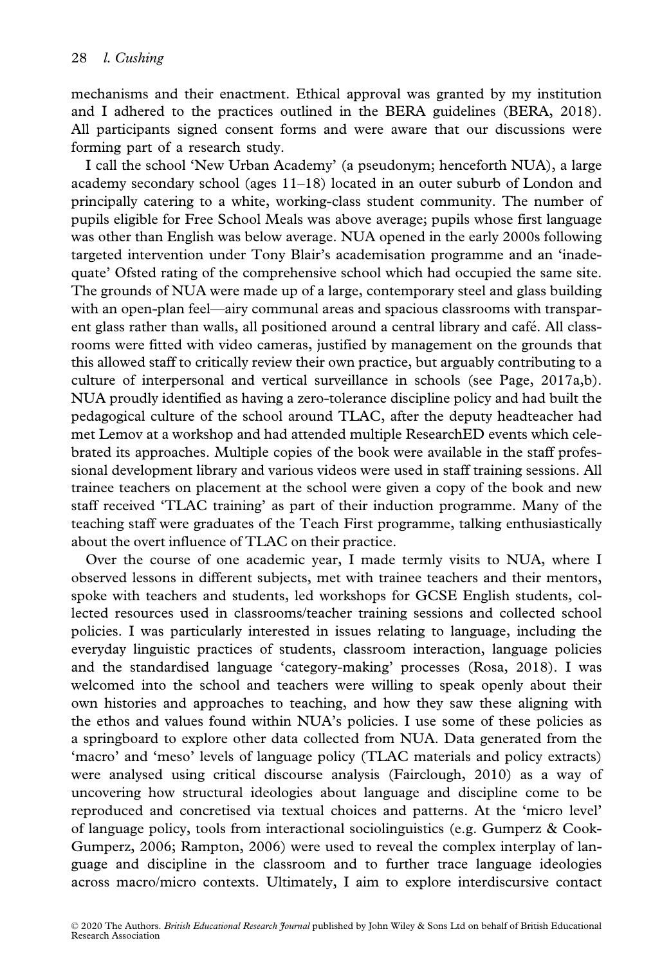mechanisms and their enactment. Ethical approval was granted by my institution and I adhered to the practices outlined in the BERA guidelines (BERA, 2018). All participants signed consent forms and were aware that our discussions were forming part of a research study.

I call the school 'New Urban Academy' (a pseudonym; henceforth NUA), a large academy secondary school (ages 11–18) located in an outer suburb of London and principally catering to a white, working-class student community. The number of pupils eligible for Free School Meals was above average; pupils whose first language was other than English was below average. NUA opened in the early 2000s following targeted intervention under Tony Blair's academisation programme and an 'inadequate' Ofsted rating of the comprehensive school which had occupied the same site. The grounds of NUA were made up of a large, contemporary steel and glass building with an open-plan feel—airy communal areas and spacious classrooms with transparent glass rather than walls, all positioned around a central library and café. All classrooms were fitted with video cameras, justified by management on the grounds that this allowed staff to critically review their own practice, but arguably contributing to a culture of interpersonal and vertical surveillance in schools (see Page, 2017a,b). NUA proudly identified as having a zero-tolerance discipline policy and had built the pedagogical culture of the school around TLAC, after the deputy headteacher had met Lemov at a workshop and had attended multiple ResearchED events which celebrated its approaches. Multiple copies of the book were available in the staff professional development library and various videos were used in staff training sessions. All trainee teachers on placement at the school were given a copy of the book and new staff received 'TLAC training' as part of their induction programme. Many of the teaching staff were graduates of the Teach First programme, talking enthusiastically about the overt influence of TLAC on their practice.

Over the course of one academic year, I made termly visits to NUA, where I observed lessons in different subjects, met with trainee teachers and their mentors, spoke with teachers and students, led workshops for GCSE English students, collected resources used in classrooms/teacher training sessions and collected school policies. I was particularly interested in issues relating to language, including the everyday linguistic practices of students, classroom interaction, language policies and the standardised language 'category-making' processes (Rosa, 2018). I was welcomed into the school and teachers were willing to speak openly about their own histories and approaches to teaching, and how they saw these aligning with the ethos and values found within NUA's policies. I use some of these policies as a springboard to explore other data collected from NUA. Data generated from the 'macro' and 'meso' levels of language policy (TLAC materials and policy extracts) were analysed using critical discourse analysis (Fairclough, 2010) as a way of uncovering how structural ideologies about language and discipline come to be reproduced and concretised via textual choices and patterns. At the 'micro level' of language policy, tools from interactional sociolinguistics (e.g. Gumperz & Cook-Gumperz, 2006; Rampton, 2006) were used to reveal the complex interplay of language and discipline in the classroom and to further trace language ideologies across macro/micro contexts. Ultimately, I aim to explore interdiscursive contact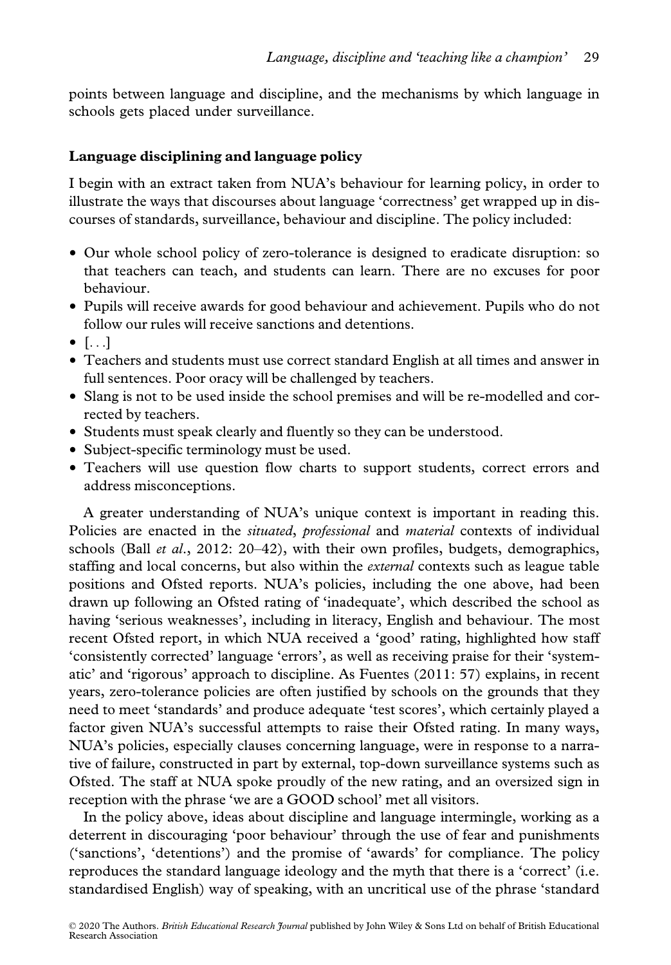points between language and discipline, and the mechanisms by which language in schools gets placed under surveillance.

#### Language disciplining and language policy

I begin with an extract taken from NUA's behaviour for learning policy, in order to illustrate the ways that discourses about language 'correctness' get wrapped up in discourses of standards, surveillance, behaviour and discipline. The policy included:

- Our whole school policy of zero-tolerance is designed to eradicate disruption: so that teachers can teach, and students can learn. There are no excuses for poor behaviour.
- Pupils will receive awards for good behaviour and achievement. Pupils who do not follow our rules will receive sanctions and detentions.
- $\bullet$  [...]
- Teachers and students must use correct standard English at all times and answer in full sentences. Poor oracy will be challenged by teachers.
- Slang is not to be used inside the school premises and will be re-modelled and corrected by teachers.
- Students must speak clearly and fluently so they can be understood.
- Subject-specific terminology must be used.
- Teachers will use question flow charts to support students, correct errors and address misconceptions.

A greater understanding of NUA's unique context is important in reading this. Policies are enacted in the *situated, professional* and *material* contexts of individual schools (Ball *et al.*, 2012: 20–42), with their own profiles, budgets, demographics, staffing and local concerns, but also within the *external* contexts such as league table positions and Ofsted reports. NUA's policies, including the one above, had been drawn up following an Ofsted rating of 'inadequate', which described the school as having 'serious weaknesses', including in literacy, English and behaviour. The most recent Ofsted report, in which NUA received a 'good' rating, highlighted how staff 'consistently corrected' language 'errors', as well as receiving praise for their 'systematic' and 'rigorous' approach to discipline. As Fuentes (2011: 57) explains, in recent years, zero-tolerance policies are often justified by schools on the grounds that they need to meet 'standards' and produce adequate 'test scores', which certainly played a factor given NUA's successful attempts to raise their Ofsted rating. In many ways, NUA's policies, especially clauses concerning language, were in response to a narrative of failure, constructed in part by external, top-down surveillance systems such as Ofsted. The staff at NUA spoke proudly of the new rating, and an oversized sign in reception with the phrase 'we are a GOOD school' met all visitors.

In the policy above, ideas about discipline and language intermingle, working as a deterrent in discouraging 'poor behaviour' through the use of fear and punishments ('sanctions', 'detentions') and the promise of 'awards' for compliance. The policy reproduces the standard language ideology and the myth that there is a 'correct' (i.e. standardised English) way of speaking, with an uncritical use of the phrase 'standard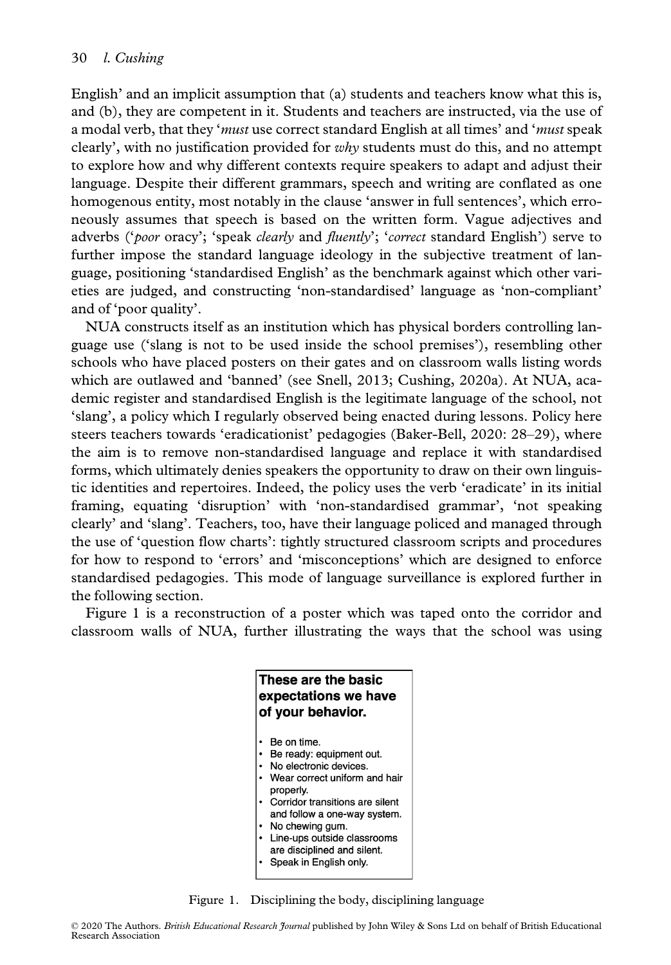English' and an implicit assumption that (a) students and teachers know what this is, and (b), they are competent in it. Students and teachers are instructed, via the use of a modal verb, that they '*must* use correct standard English at all times' and '*must* speak clearly', with no justification provided for  $why$  students must do this, and no attempt to explore how and why different contexts require speakers to adapt and adjust their language. Despite their different grammars, speech and writing are conflated as one homogenous entity, most notably in the clause 'answer in full sentences', which erroneously assumes that speech is based on the written form. Vague adjectives and adverbs ('poor oracy'; 'speak clearly and fluently'; 'correct standard English') serve to further impose the standard language ideology in the subjective treatment of language, positioning 'standardised English' as the benchmark against which other varieties are judged, and constructing 'non-standardised' language as 'non-compliant' and of 'poor quality'.

NUA constructs itself as an institution which has physical borders controlling language use ('slang is not to be used inside the school premises'), resembling other schools who have placed posters on their gates and on classroom walls listing words which are outlawed and 'banned' (see Snell, 2013; Cushing, 2020a). At NUA, academic register and standardised English is the legitimate language of the school, not 'slang', a policy which I regularly observed being enacted during lessons. Policy here steers teachers towards 'eradicationist' pedagogies (Baker-Bell, 2020: 28–29), where the aim is to remove non-standardised language and replace it with standardised forms, which ultimately denies speakers the opportunity to draw on their own linguistic identities and repertoires. Indeed, the policy uses the verb 'eradicate' in its initial framing, equating 'disruption' with 'non-standardised grammar', 'not speaking clearly' and 'slang'. Teachers, too, have their language policed and managed through the use of 'question flow charts': tightly structured classroom scripts and procedures for how to respond to 'errors' and 'misconceptions' which are designed to enforce standardised pedagogies. This mode of language surveillance is explored further in the following section.

Figure 1 is a reconstruction of a poster which was taped onto the corridor and classroom walls of NUA, further illustrating the ways that the school was using

## These are the basic expectations we have of your behavior.

- Be on time.
- Be ready: equipment out.
- No electronic devices.
- Wear correct uniform and hair properly.
- Corridor transitions are silent
- and follow a one-way system.
- No chewing gum. Line-ups outside classrooms
- are disciplined and silent.
- Speak in English only.

Figure 1. Disciplining the body, disciplining language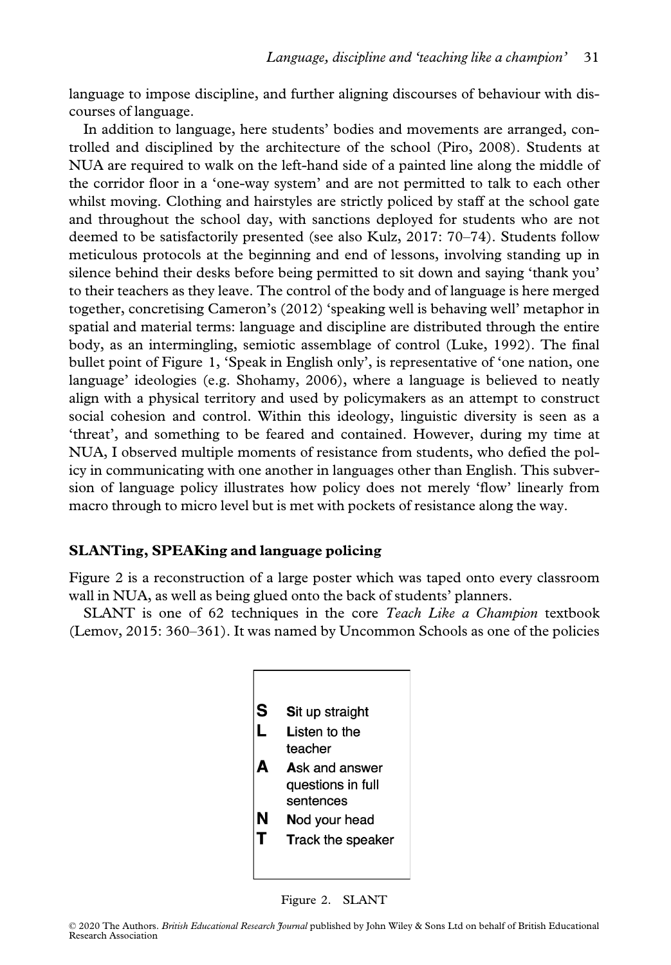language to impose discipline, and further aligning discourses of behaviour with discourses of language.

In addition to language, here students' bodies and movements are arranged, controlled and disciplined by the architecture of the school (Piro, 2008). Students at NUA are required to walk on the left-hand side of a painted line along the middle of the corridor floor in a 'one-way system' and are not permitted to talk to each other whilst moving. Clothing and hairstyles are strictly policed by staff at the school gate and throughout the school day, with sanctions deployed for students who are not deemed to be satisfactorily presented (see also Kulz, 2017: 70–74). Students follow meticulous protocols at the beginning and end of lessons, involving standing up in silence behind their desks before being permitted to sit down and saying 'thank you' to their teachers as they leave. The control of the body and of language is here merged together, concretising Cameron's (2012) 'speaking well is behaving well' metaphor in spatial and material terms: language and discipline are distributed through the entire body, as an intermingling, semiotic assemblage of control (Luke, 1992). The final bullet point of Figure 1, 'Speak in English only', is representative of 'one nation, one language' ideologies (e.g. Shohamy, 2006), where a language is believed to neatly align with a physical territory and used by policymakers as an attempt to construct social cohesion and control. Within this ideology, linguistic diversity is seen as a 'threat', and something to be feared and contained. However, during my time at NUA, I observed multiple moments of resistance from students, who defied the policy in communicating with one another in languages other than English. This subversion of language policy illustrates how policy does not merely 'flow' linearly from macro through to micro level but is met with pockets of resistance along the way.

## SLANTing, SPEAKing and language policing

Figure 2 is a reconstruction of a large poster which was taped onto every classroom wall in NUA, as well as being glued onto the back of students' planners.

SLANT is one of 62 techniques in the core Teach Like a Champion textbook (Lemov, 2015: 360–361). It was named by Uncommon Schools as one of the policies



Figure 2. SLANT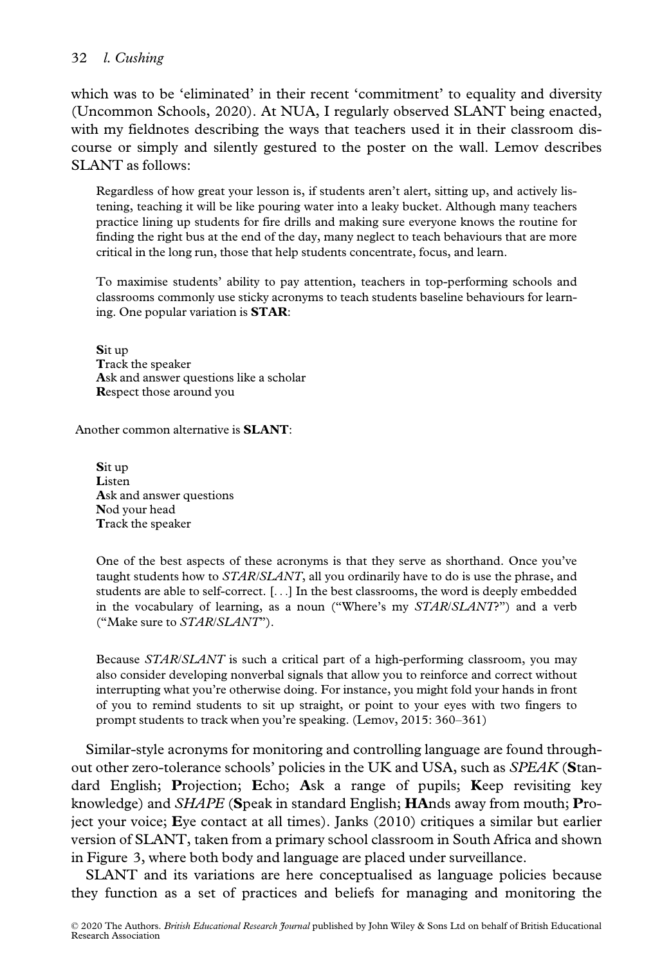## 32 l. Cushing

which was to be 'eliminated' in their recent 'commitment' to equality and diversity (Uncommon Schools, 2020). At NUA, I regularly observed SLANT being enacted, with my fieldnotes describing the ways that teachers used it in their classroom discourse or simply and silently gestured to the poster on the wall. Lemov describes SLANT as follows:

Regardless of how great your lesson is, if students aren't alert, sitting up, and actively listening, teaching it will be like pouring water into a leaky bucket. Although many teachers practice lining up students for fire drills and making sure everyone knows the routine for finding the right bus at the end of the day, many neglect to teach behaviours that are more critical in the long run, those that help students concentrate, focus, and learn.

To maximise students' ability to pay attention, teachers in top-performing schools and classrooms commonly use sticky acronyms to teach students baseline behaviours for learning. One popular variation is STAR:

Sit up Track the speaker Ask and answer questions like a scholar Respect those around you

Another common alternative is SLANT:

Sit up **Listen** Ask and answer questions Nod your head Track the speaker

One of the best aspects of these acronyms is that they serve as shorthand. Once you've taught students how to STAR/SLANT, all you ordinarily have to do is use the phrase, and students are able to self-correct. [...] In the best classrooms, the word is deeply embedded in the vocabulary of learning, as a noun ("Where's my STAR/SLANT?") and a verb ("Make sure to STAR/SLANT").

Because STAR/SLANT is such a critical part of a high-performing classroom, you may also consider developing nonverbal signals that allow you to reinforce and correct without interrupting what you're otherwise doing. For instance, you might fold your hands in front of you to remind students to sit up straight, or point to your eyes with two fingers to prompt students to track when you're speaking. (Lemov, 2015: 360–361)

Similar-style acronyms for monitoring and controlling language are found throughout other zero-tolerance schools' policies in the UK and USA, such as SPEAK (Standard English; Projection; Echo; Ask a range of pupils; Keep revisiting key knowledge) and SHAPE (Speak in standard English; HAnds away from mouth; Project your voice; Eye contact at all times). Janks (2010) critiques a similar but earlier version of SLANT, taken from a primary school classroom in South Africa and shown in Figure 3, where both body and language are placed under surveillance.

SLANT and its variations are here conceptualised as language policies because they function as a set of practices and beliefs for managing and monitoring the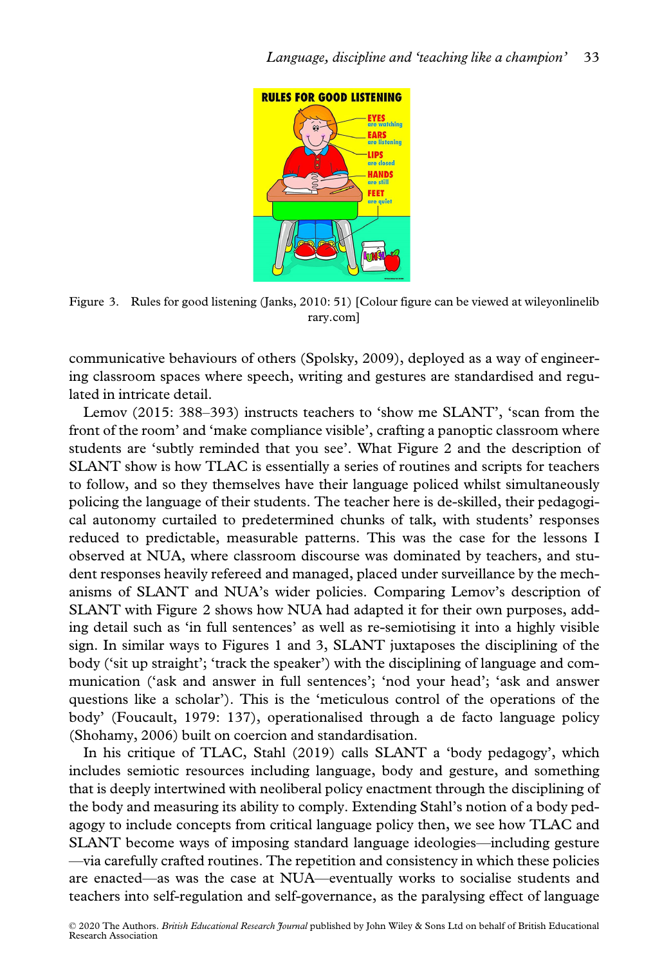

Figure 3. Rules for good listening (Janks, 2010: 51) [Colour figure can be viewed at [wileyonlinelib](www.wileyonlinelibrary.com) [rary.com](www.wileyonlinelibrary.com)]

communicative behaviours of others (Spolsky, 2009), deployed as a way of engineering classroom spaces where speech, writing and gestures are standardised and regulated in intricate detail.

Lemov (2015: 388–393) instructs teachers to 'show me SLANT', 'scan from the front of the room' and 'make compliance visible', crafting a panoptic classroom where students are 'subtly reminded that you see'. What Figure 2 and the description of SLANT show is how TLAC is essentially a series of routines and scripts for teachers to follow, and so they themselves have their language policed whilst simultaneously policing the language of their students. The teacher here is de-skilled, their pedagogical autonomy curtailed to predetermined chunks of talk, with students' responses reduced to predictable, measurable patterns. This was the case for the lessons I observed at NUA, where classroom discourse was dominated by teachers, and student responses heavily refereed and managed, placed under surveillance by the mechanisms of SLANT and NUA's wider policies. Comparing Lemov's description of SLANT with Figure 2 shows how NUA had adapted it for their own purposes, adding detail such as 'in full sentences' as well as re-semiotising it into a highly visible sign. In similar ways to Figures 1 and 3, SLANT juxtaposes the disciplining of the body ('sit up straight'; 'track the speaker') with the disciplining of language and communication ('ask and answer in full sentences'; 'nod your head'; 'ask and answer questions like a scholar'). This is the 'meticulous control of the operations of the body' (Foucault, 1979: 137), operationalised through a de facto language policy (Shohamy, 2006) built on coercion and standardisation.

In his critique of TLAC, Stahl (2019) calls SLANT a 'body pedagogy', which includes semiotic resources including language, body and gesture, and something that is deeply intertwined with neoliberal policy enactment through the disciplining of the body and measuring its ability to comply. Extending Stahl's notion of a body pedagogy to include concepts from critical language policy then, we see how TLAC and SLANT become ways of imposing standard language ideologies—including gesture —via carefully crafted routines. The repetition and consistency in which these policies are enacted—as was the case at NUA—eventually works to socialise students and teachers into self-regulation and self-governance, as the paralysing effect of language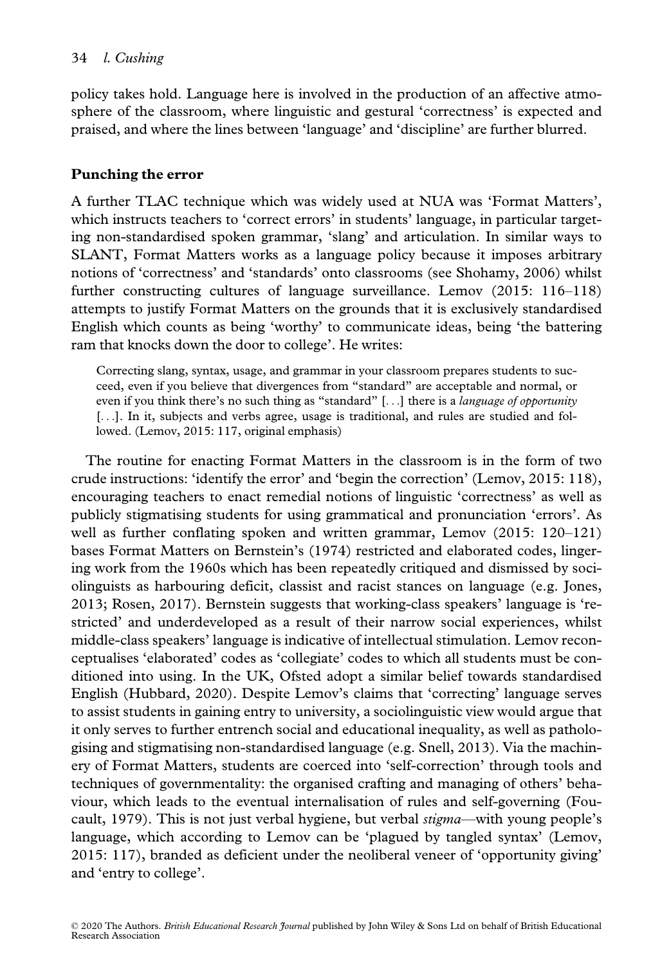policy takes hold. Language here is involved in the production of an affective atmosphere of the classroom, where linguistic and gestural 'correctness' is expected and praised, and where the lines between 'language' and 'discipline' are further blurred.

## Punching the error

A further TLAC technique which was widely used at NUA was 'Format Matters', which instructs teachers to 'correct errors' in students' language, in particular targeting non-standardised spoken grammar, 'slang' and articulation. In similar ways to SLANT, Format Matters works as a language policy because it imposes arbitrary notions of 'correctness' and 'standards' onto classrooms (see Shohamy, 2006) whilst further constructing cultures of language surveillance. Lemov (2015: 116–118) attempts to justify Format Matters on the grounds that it is exclusively standardised English which counts as being 'worthy' to communicate ideas, being 'the battering ram that knocks down the door to college'. He writes:

Correcting slang, syntax, usage, and grammar in your classroom prepares students to succeed, even if you believe that divergences from "standard" are acceptable and normal, or even if you think there's no such thing as "standard" [...] there is a *language of opportunity* [...]. In it, subjects and verbs agree, usage is traditional, and rules are studied and followed. (Lemov, 2015: 117, original emphasis)

The routine for enacting Format Matters in the classroom is in the form of two crude instructions: 'identify the error' and 'begin the correction' (Lemov, 2015: 118), encouraging teachers to enact remedial notions of linguistic 'correctness' as well as publicly stigmatising students for using grammatical and pronunciation 'errors'. As well as further conflating spoken and written grammar, Lemov (2015: 120–121) bases Format Matters on Bernstein's (1974) restricted and elaborated codes, lingering work from the 1960s which has been repeatedly critiqued and dismissed by sociolinguists as harbouring deficit, classist and racist stances on language (e.g. Jones, 2013; Rosen, 2017). Bernstein suggests that working-class speakers' language is 'restricted' and underdeveloped as a result of their narrow social experiences, whilst middle-class speakers' language is indicative of intellectual stimulation. Lemov reconceptualises 'elaborated' codes as 'collegiate' codes to which all students must be conditioned into using. In the UK, Ofsted adopt a similar belief towards standardised English (Hubbard, 2020). Despite Lemov's claims that 'correcting' language serves to assist students in gaining entry to university, a sociolinguistic view would argue that it only serves to further entrench social and educational inequality, as well as pathologising and stigmatising non-standardised language (e.g. Snell, 2013). Via the machinery of Format Matters, students are coerced into 'self-correction' through tools and techniques of governmentality: the organised crafting and managing of others' behaviour, which leads to the eventual internalisation of rules and self-governing (Foucault, 1979). This is not just verbal hygiene, but verbal *stigma*—with young people's language, which according to Lemov can be 'plagued by tangled syntax' (Lemov, 2015: 117), branded as deficient under the neoliberal veneer of 'opportunity giving' and 'entry to college'.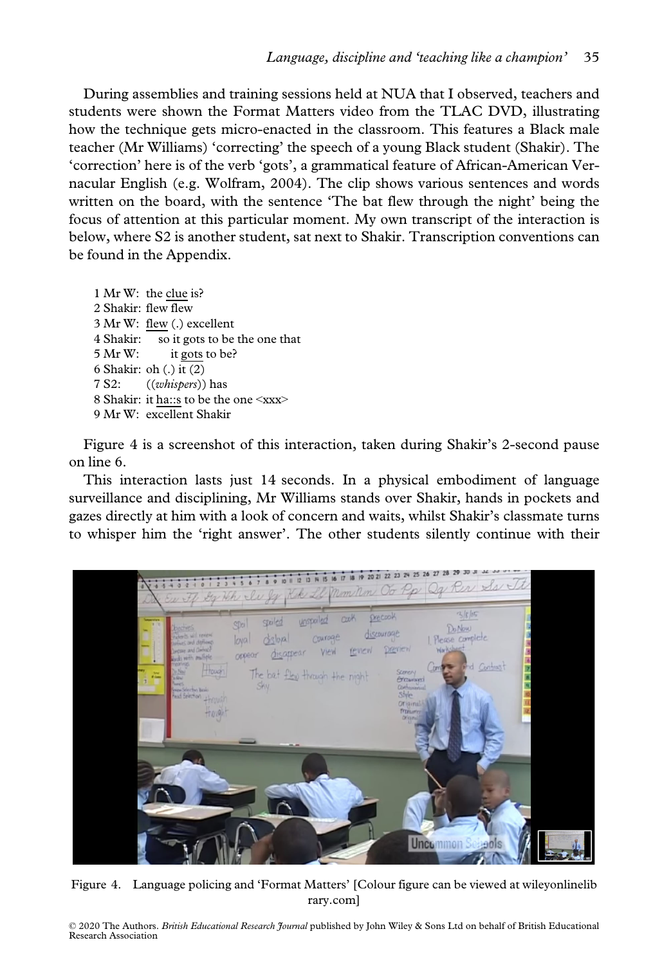During assemblies and training sessions held at NUA that I observed, teachers and students were shown the Format Matters video from the TLAC DVD, illustrating how the technique gets micro-enacted in the classroom. This features a Black male teacher (Mr Williams) 'correcting' the speech of a young Black student (Shakir). The 'correction' here is of the verb 'gots', a grammatical feature of African-American Vernacular English (e.g. Wolfram, 2004). The clip shows various sentences and words written on the board, with the sentence 'The bat flew through the night' being the focus of attention at this particular moment. My own transcript of the interaction is below, where S2 is another student, sat next to Shakir. Transcription conventions can be found in the Appendix.

1 Mr W: the clue is? 2 Shakir: flew flew 3 Mr W: flew (.) excellent 4 Shakir: so it gots to be the one that 5 Mr W: it gots to be? 6 Shakir: oh (.) it (2) 7 S2: ((whispers)) has 8 Shakir: it ha::s to be the one <xxx> 9 Mr W: excellent Shakir

Figure 4 is a screenshot of this interaction, taken during Shakir's 2-second pause on line 6.

This interaction lasts just 14 seconds. In a physical embodiment of language surveillance and disciplining, Mr Williams stands over Shakir, hands in pockets and gazes directly at him with a look of concern and waits, whilst Shakir's classmate turns to whisper him the 'right answer'. The other students silently continue with their



Figure 4. Language policing and 'Format Matters' [Colour figure can be viewed at [wileyonlinelib](www.wileyonlinelibrary.com) [rary.com](www.wileyonlinelibrary.com)]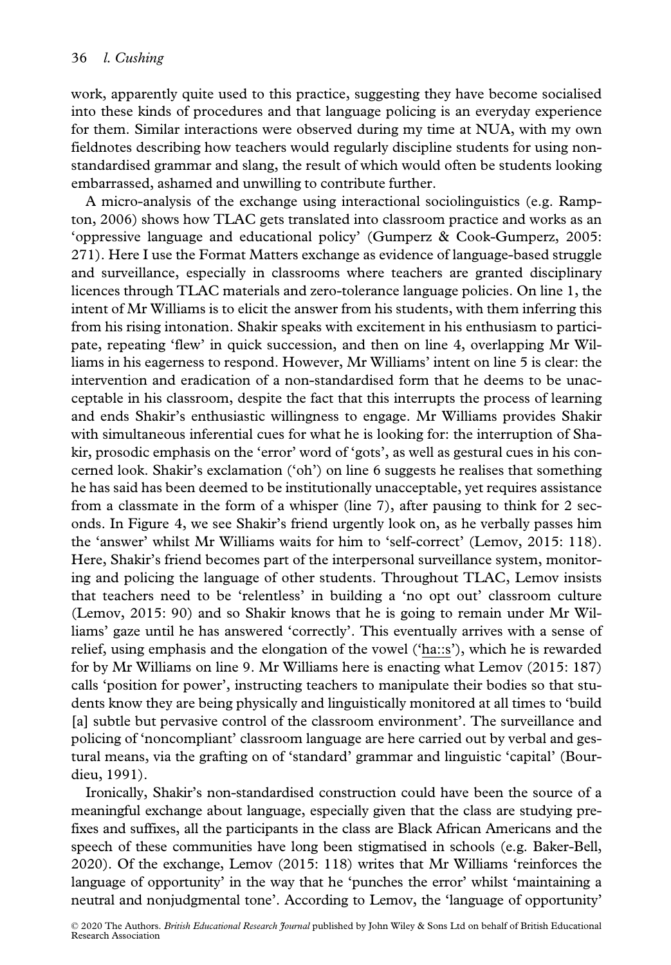work, apparently quite used to this practice, suggesting they have become socialised into these kinds of procedures and that language policing is an everyday experience for them. Similar interactions were observed during my time at NUA, with my own fieldnotes describing how teachers would regularly discipline students for using nonstandardised grammar and slang, the result of which would often be students looking embarrassed, ashamed and unwilling to contribute further.

A micro-analysis of the exchange using interactional sociolinguistics (e.g. Rampton, 2006) shows how TLAC gets translated into classroom practice and works as an 'oppressive language and educational policy' (Gumperz & Cook-Gumperz, 2005: 271). Here I use the Format Matters exchange as evidence of language-based struggle and surveillance, especially in classrooms where teachers are granted disciplinary licences through TLAC materials and zero-tolerance language policies. On line 1, the intent of Mr Williams is to elicit the answer from his students, with them inferring this from his rising intonation. Shakir speaks with excitement in his enthusiasm to participate, repeating 'flew' in quick succession, and then on line 4, overlapping Mr Williams in his eagerness to respond. However, Mr Williams' intent on line 5 is clear: the intervention and eradication of a non-standardised form that he deems to be unacceptable in his classroom, despite the fact that this interrupts the process of learning and ends Shakir's enthusiastic willingness to engage. Mr Williams provides Shakir with simultaneous inferential cues for what he is looking for: the interruption of Shakir, prosodic emphasis on the 'error' word of 'gots', as well as gestural cues in his concerned look. Shakir's exclamation ('oh') on line 6 suggests he realises that something he has said has been deemed to be institutionally unacceptable, yet requires assistance from a classmate in the form of a whisper (line 7), after pausing to think for 2 seconds. In Figure 4, we see Shakir's friend urgently look on, as he verbally passes him the 'answer' whilst Mr Williams waits for him to 'self-correct' (Lemov, 2015: 118). Here, Shakir's friend becomes part of the interpersonal surveillance system, monitoring and policing the language of other students. Throughout TLAC, Lemov insists that teachers need to be 'relentless' in building a 'no opt out' classroom culture (Lemov, 2015: 90) and so Shakir knows that he is going to remain under Mr Williams' gaze until he has answered 'correctly'. This eventually arrives with a sense of relief, using emphasis and the elongation of the vowel ('ha::s'), which he is rewarded for by Mr Williams on line 9. Mr Williams here is enacting what Lemov (2015: 187) calls 'position for power', instructing teachers to manipulate their bodies so that students know they are being physically and linguistically monitored at all times to 'build [a] subtle but pervasive control of the classroom environment'. The surveillance and policing of 'noncompliant' classroom language are here carried out by verbal and gestural means, via the grafting on of 'standard' grammar and linguistic 'capital' (Bourdieu, 1991).

Ironically, Shakir's non-standardised construction could have been the source of a meaningful exchange about language, especially given that the class are studying prefixes and suffixes, all the participants in the class are Black African Americans and the speech of these communities have long been stigmatised in schools (e.g. Baker-Bell, 2020). Of the exchange, Lemov (2015: 118) writes that Mr Williams 'reinforces the language of opportunity' in the way that he 'punches the error' whilst 'maintaining a neutral and nonjudgmental tone'. According to Lemov, the 'language of opportunity'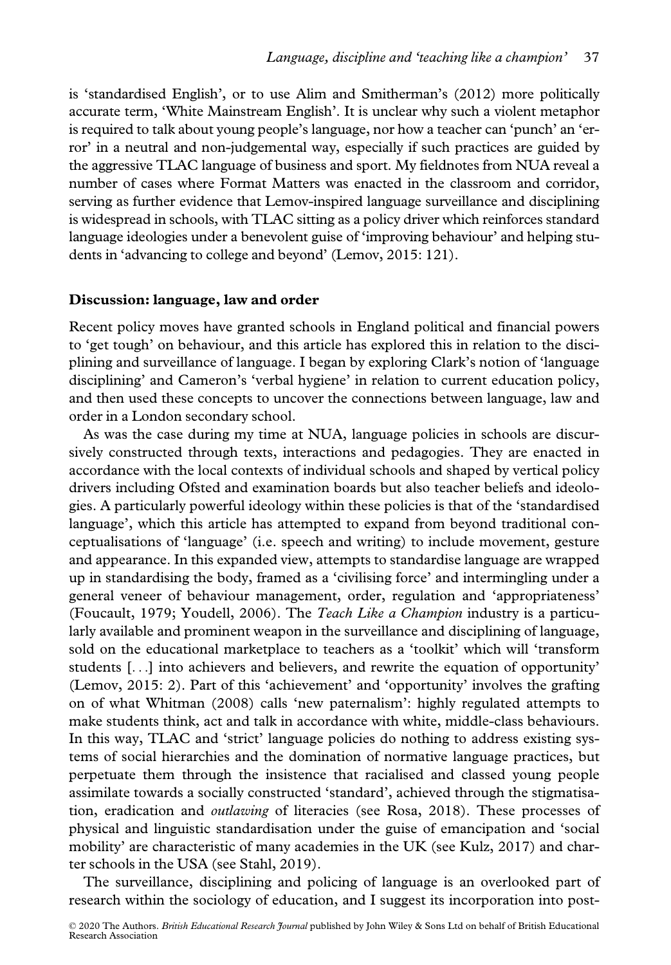is 'standardised English', or to use Alim and Smitherman's (2012) more politically accurate term, 'White Mainstream English'. It is unclear why such a violent metaphor is required to talk about young people's language, nor how a teacher can 'punch' an 'error' in a neutral and non-judgemental way, especially if such practices are guided by the aggressive TLAC language of business and sport. My fieldnotes from NUA reveal a number of cases where Format Matters was enacted in the classroom and corridor, serving as further evidence that Lemov-inspired language surveillance and disciplining is widespread in schools, with TLAC sitting as a policy driver which reinforces standard language ideologies under a benevolent guise of 'improving behaviour' and helping students in 'advancing to college and beyond' (Lemov, 2015: 121).

#### Discussion: language, law and order

Recent policy moves have granted schools in England political and financial powers to 'get tough' on behaviour, and this article has explored this in relation to the disciplining and surveillance of language. I began by exploring Clark's notion of 'language disciplining' and Cameron's 'verbal hygiene' in relation to current education policy, and then used these concepts to uncover the connections between language, law and order in a London secondary school.

As was the case during my time at NUA, language policies in schools are discursively constructed through texts, interactions and pedagogies. They are enacted in accordance with the local contexts of individual schools and shaped by vertical policy drivers including Ofsted and examination boards but also teacher beliefs and ideologies. A particularly powerful ideology within these policies is that of the 'standardised language', which this article has attempted to expand from beyond traditional conceptualisations of 'language' (i.e. speech and writing) to include movement, gesture and appearance. In this expanded view, attempts to standardise language are wrapped up in standardising the body, framed as a 'civilising force' and intermingling under a general veneer of behaviour management, order, regulation and 'appropriateness' (Foucault, 1979; Youdell, 2006). The Teach Like a Champion industry is a particularly available and prominent weapon in the surveillance and disciplining of language, sold on the educational marketplace to teachers as a 'toolkit' which will 'transform students [...] into achievers and believers, and rewrite the equation of opportunity' (Lemov, 2015: 2). Part of this 'achievement' and 'opportunity' involves the grafting on of what Whitman (2008) calls 'new paternalism': highly regulated attempts to make students think, act and talk in accordance with white, middle-class behaviours. In this way, TLAC and 'strict' language policies do nothing to address existing systems of social hierarchies and the domination of normative language practices, but perpetuate them through the insistence that racialised and classed young people assimilate towards a socially constructed 'standard', achieved through the stigmatisation, eradication and *outlawing* of literacies (see Rosa, 2018). These processes of physical and linguistic standardisation under the guise of emancipation and 'social mobility' are characteristic of many academies in the UK (see Kulz, 2017) and charter schools in the USA (see Stahl, 2019).

The surveillance, disciplining and policing of language is an overlooked part of research within the sociology of education, and I suggest its incorporation into post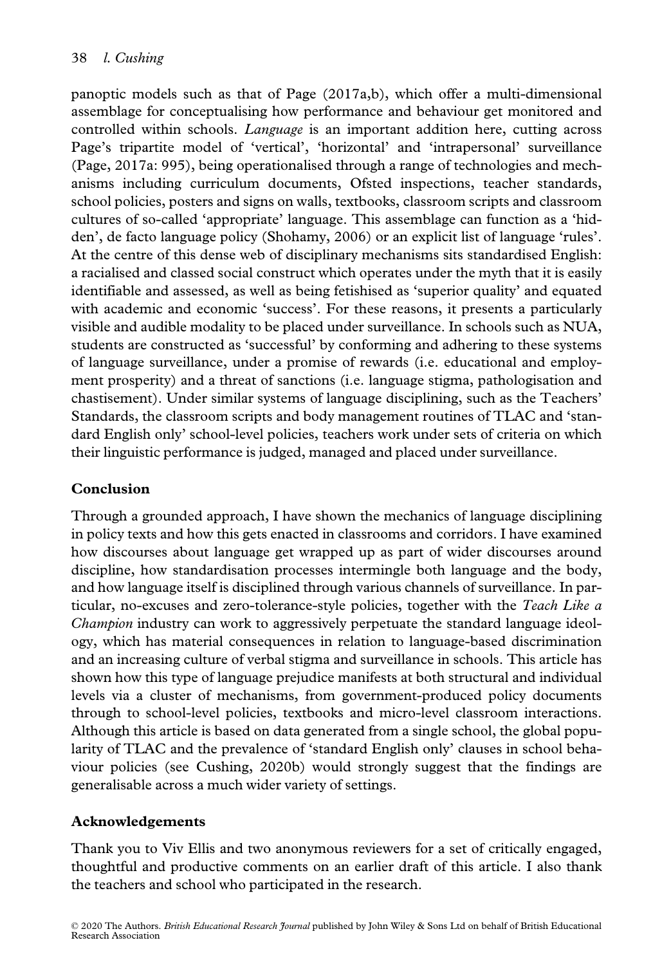panoptic models such as that of Page (2017a,b), which offer a multi-dimensional assemblage for conceptualising how performance and behaviour get monitored and controlled within schools. *Language* is an important addition here, cutting across Page's tripartite model of 'vertical', 'horizontal' and 'intrapersonal' surveillance (Page, 2017a: 995), being operationalised through a range of technologies and mechanisms including curriculum documents, Ofsted inspections, teacher standards, school policies, posters and signs on walls, textbooks, classroom scripts and classroom cultures of so-called 'appropriate' language. This assemblage can function as a 'hidden', de facto language policy (Shohamy, 2006) or an explicit list of language 'rules'. At the centre of this dense web of disciplinary mechanisms sits standardised English: a racialised and classed social construct which operates under the myth that it is easily identifiable and assessed, as well as being fetishised as 'superior quality' and equated with academic and economic 'success'. For these reasons, it presents a particularly visible and audible modality to be placed under surveillance. In schools such as NUA, students are constructed as 'successful' by conforming and adhering to these systems of language surveillance, under a promise of rewards (i.e. educational and employment prosperity) and a threat of sanctions (i.e. language stigma, pathologisation and chastisement). Under similar systems of language disciplining, such as the Teachers' Standards, the classroom scripts and body management routines of TLAC and 'standard English only' school-level policies, teachers work under sets of criteria on which their linguistic performance is judged, managed and placed under surveillance.

## Conclusion

Through a grounded approach, I have shown the mechanics of language disciplining in policy texts and how this gets enacted in classrooms and corridors. I have examined how discourses about language get wrapped up as part of wider discourses around discipline, how standardisation processes intermingle both language and the body, and how language itself is disciplined through various channels of surveillance. In particular, no-excuses and zero-tolerance-style policies, together with the Teach Like a Champion industry can work to aggressively perpetuate the standard language ideology, which has material consequences in relation to language-based discrimination and an increasing culture of verbal stigma and surveillance in schools. This article has shown how this type of language prejudice manifests at both structural and individual levels via a cluster of mechanisms, from government-produced policy documents through to school-level policies, textbooks and micro-level classroom interactions. Although this article is based on data generated from a single school, the global popularity of TLAC and the prevalence of 'standard English only' clauses in school behaviour policies (see Cushing, 2020b) would strongly suggest that the findings are generalisable across a much wider variety of settings.

## Acknowledgements

Thank you to Viv Ellis and two anonymous reviewers for a set of critically engaged, thoughtful and productive comments on an earlier draft of this article. I also thank the teachers and school who participated in the research.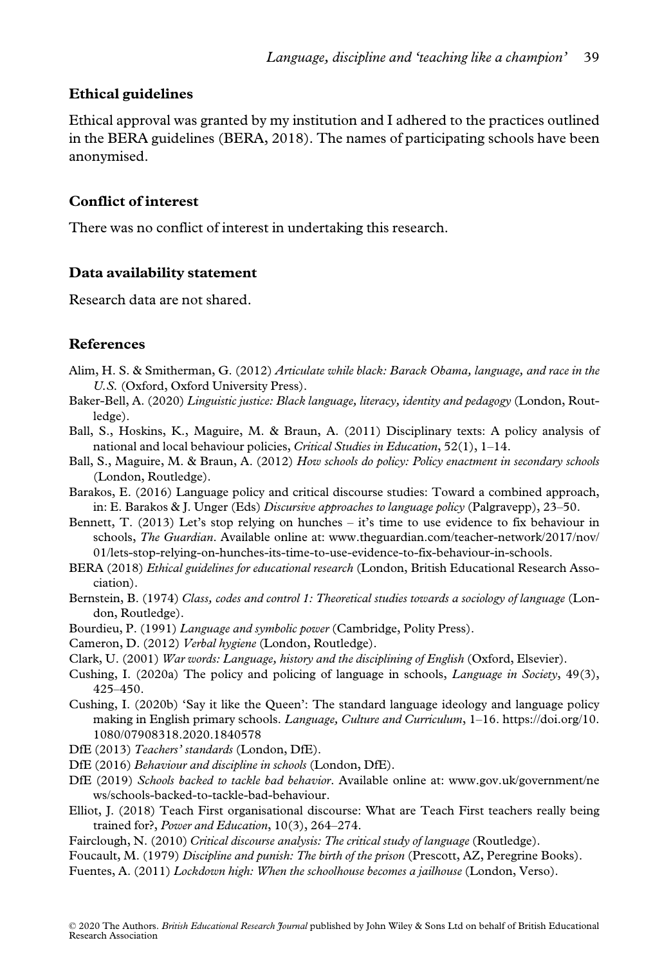## Ethical guidelines

Ethical approval was granted by my institution and I adhered to the practices outlined in the BERA guidelines (BERA, 2018). The names of participating schools have been anonymised.

#### Conflict of interest

There was no conflict of interest in undertaking this research.

#### Data availability statement

Research data are not shared.

## **References**

- Alim, H. S. & Smitherman, G. (2012) Articulate while black: Barack Obama, language, and race in the U.S. (Oxford, Oxford University Press).
- Baker-Bell, A. (2020) Linguistic justice: Black language, literacy, identity and pedagogy (London, Routledge).
- Ball, S., Hoskins, K., Maguire, M. & Braun, A. (2011) Disciplinary texts: A policy analysis of national and local behaviour policies, *Critical Studies in Education*,  $52(1)$ ,  $1-14$ .
- Ball, S., Maguire, M. & Braun, A. (2012) How schools do policy: Policy enactment in secondary schools (London, Routledge).
- Barakos, E. (2016) Language policy and critical discourse studies: Toward a combined approach, in: E. Barakos & J. Unger (Eds) Discursive approaches to language policy (Palgravepp), 23–50.
- Bennett, T. (2013) Let's stop relying on hunches it's time to use evidence to fix behaviour in schools, The Guardian. Available online at: [www.theguardian.com/teacher-network/2017/nov/](http://www.theguardian.com/teacher-network/2017/nov/01/lets-stop-relying-on-hunches-its-time-to-use-evidence-to-fix-behaviour-in-schools) [01/lets-stop-relying-on-hunches-its-time-to-use-evidence-to-fix-behaviour-in-schools.](http://www.theguardian.com/teacher-network/2017/nov/01/lets-stop-relying-on-hunches-its-time-to-use-evidence-to-fix-behaviour-in-schools)
- BERA (2018) Ethical guidelines for educational research (London, British Educational Research Association).
- Bernstein, B. (1974) Class, codes and control 1: Theoretical studies towards a sociology of language (London, Routledge).
- Bourdieu, P. (1991) Language and symbolic power (Cambridge, Polity Press).
- Cameron, D. (2012) Verbal hygiene (London, Routledge).
- Clark, U. (2001) War words: Language, history and the disciplining of English (Oxford, Elsevier).
- Cushing, I. (2020a) The policy and policing of language in schools, Language in Society, 49(3), 425–450.
- Cushing, I. (2020b) 'Say it like the Queen': The standard language ideology and language policy making in English primary schools. Language, Culture and Curriculum, 1–16. [https://doi.org/10.](https://doi.org/10.1080/07908318.2020.1840578) [1080/07908318.2020.1840578](https://doi.org/10.1080/07908318.2020.1840578)
- DfE (2013) Teachers' standards (London, DfE).
- DfE (2016) Behaviour and discipline in schools (London, DfE).
- DfE (2019) Schools backed to tackle bad behavior. Available online at: [www.gov.uk/government/ne](http://www.gov.uk/government/news/schools-backed-to-tackle-bad-behaviour) [ws/schools-backed-to-tackle-bad-behaviour.](http://www.gov.uk/government/news/schools-backed-to-tackle-bad-behaviour)
- Elliot, J. (2018) Teach First organisational discourse: What are Teach First teachers really being trained for?, Power and Education, 10(3), 264–274.
- Fairclough, N. (2010) Critical discourse analysis: The critical study of language (Routledge).
- Foucault, M. (1979) Discipline and punish: The birth of the prison (Prescott, AZ, Peregrine Books).
- Fuentes, A. (2011) Lockdown high: When the schoolhouse becomes a jailhouse (London, Verso).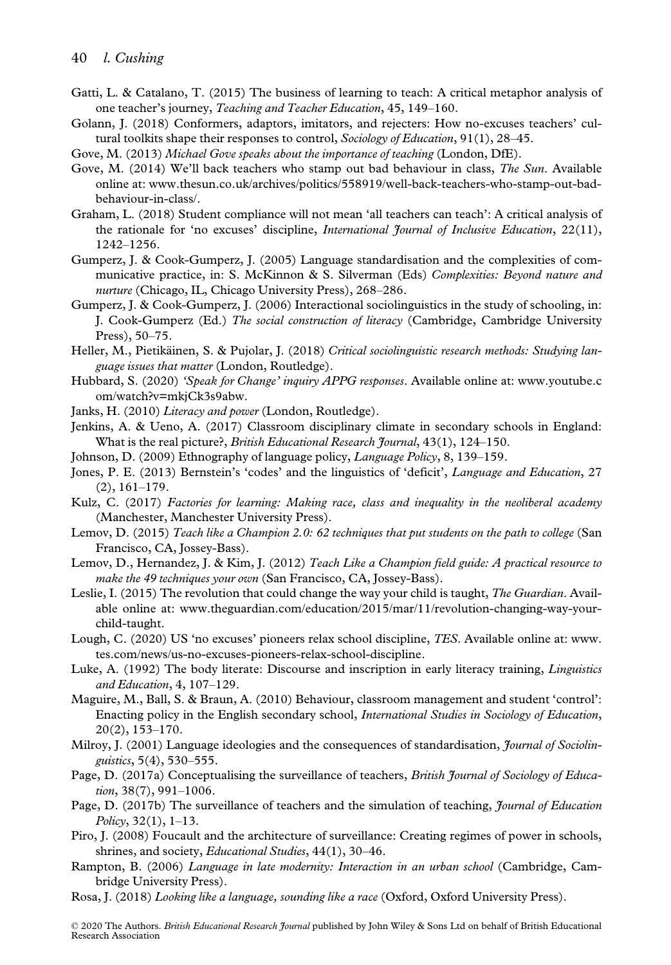- Gatti, L. & Catalano, T. (2015) The business of learning to teach: A critical metaphor analysis of one teacher's journey, Teaching and Teacher Education, 45, 149–160.
- Golann, J. (2018) Conformers, adaptors, imitators, and rejecters: How no-excuses teachers' cultural toolkits shape their responses to control, Sociology of Education, 91(1), 28–45.
- Gove, M. (2013) Michael Gove speaks about the importance of teaching (London, DfE).
- Gove, M. (2014) We'll back teachers who stamp out bad behaviour in class, *The Sun*. Available online at: [www.thesun.co.uk/archives/politics/558919/well-back-teachers-who-stamp-out-bad](http://www.thesun.co.uk/archives/politics/558919/well-back-teachers-who-stamp-out-bad-behaviour-in-class/)[behaviour-in-class/](http://www.thesun.co.uk/archives/politics/558919/well-back-teachers-who-stamp-out-bad-behaviour-in-class/).
- Graham, L. (2018) Student compliance will not mean 'all teachers can teach': A critical analysis of the rationale for 'no excuses' discipline, International Journal of Inclusive Education, 22(11), 1242–1256.
- Gumperz, J. & Cook-Gumperz, J. (2005) Language standardisation and the complexities of communicative practice, in: S. McKinnon & S. Silverman (Eds) Complexities: Beyond nature and nurture (Chicago, IL, Chicago University Press), 268–286.
- Gumperz, J. & Cook-Gumperz, J. (2006) Interactional sociolinguistics in the study of schooling, in: J. Cook-Gumperz (Ed.) The social construction of literacy (Cambridge, Cambridge University Press), 50–75.
- Heller, M., Pietikäinen, S. & Pujolar, J. (2018) Critical sociolinguistic research methods: Studying language issues that matter (London, Routledge).
- Hubbard, S. (2020) 'Speak for Change' inquiry APPG responses. Available online at: [www.youtube.c](http://www.youtube.com/watch?v=mkjCk3s9abw) [om/watch?v=mkjCk3s9abw](http://www.youtube.com/watch?v=mkjCk3s9abw).
- Janks, H. (2010) Literacy and power (London, Routledge).
- Jenkins, A. & Ueno, A. (2017) Classroom disciplinary climate in secondary schools in England: What is the real picture?, British Educational Research Journal, 43(1), 124–150.
- Johnson, D. (2009) Ethnography of language policy, Language Policy, 8, 139–159.
- Jones, P. E. (2013) Bernstein's 'codes' and the linguistics of 'deficit', Language and Education, 27 (2), 161–179.
- Kulz, C. (2017) Factories for learning: Making race, class and inequality in the neoliberal academy (Manchester, Manchester University Press).
- Lemov, D. (2015) Teach like a Champion 2.0: 62 techniques that put students on the path to college (San Francisco, CA, Jossey-Bass).
- Lemov, D., Hernandez, J. & Kim, J. (2012) Teach Like a Champion field guide: A practical resource to make the 49 techniques your own (San Francisco, CA, Jossey-Bass).
- Leslie, I. (2015) The revolution that could change the way your child is taught, The Guardian. Available online at: [www.theguardian.com/education/2015/mar/11/revolution-changing-way-your](http://www.theguardian.com/education/2015/mar/11/revolution-changing-way-your-child-taught)[child-taught](http://www.theguardian.com/education/2015/mar/11/revolution-changing-way-your-child-taught).
- Lough, C. (2020) US 'no excuses' pioneers relax school discipline, TES. Available online at: [www.](http://www.tes.com/news/us-no-excuses-pioneers-relax-school-discipline) [tes.com/news/us-no-excuses-pioneers-relax-school-discipline.](http://www.tes.com/news/us-no-excuses-pioneers-relax-school-discipline)
- Luke, A. (1992) The body literate: Discourse and inscription in early literacy training, Linguistics and Education, 4, 107–129.
- Maguire, M., Ball, S. & Braun, A. (2010) Behaviour, classroom management and student 'control': Enacting policy in the English secondary school, International Studies in Sociology of Education, 20(2), 153–170.
- Milroy, J. (2001) Language ideologies and the consequences of standardisation, *Journal of Sociolin*guistics, 5(4), 530–555.
- Page, D. (2017a) Conceptualising the surveillance of teachers, British Journal of Sociology of Education, 38(7), 991–1006.
- Page, D. (2017b) The surveillance of teachers and the simulation of teaching, *Journal of Education* Policy, 32(1), 1–13.
- Piro, J. (2008) Foucault and the architecture of surveillance: Creating regimes of power in schools, shrines, and society, Educational Studies, 44(1), 30–46.
- Rampton, B. (2006) Language in late modernity: Interaction in an urban school (Cambridge, Cambridge University Press).
- Rosa, J. (2018) Looking like a language, sounding like a race (Oxford, Oxford University Press).